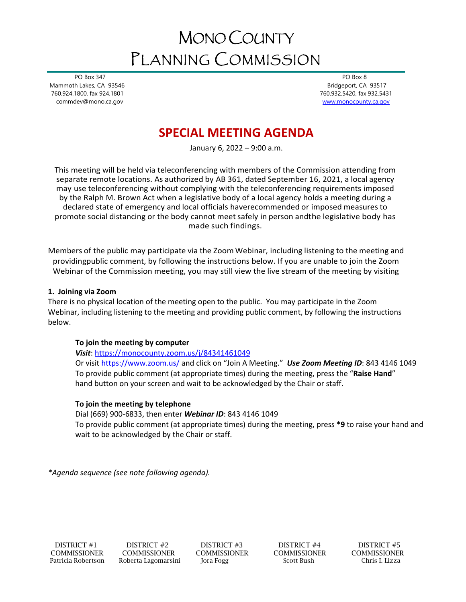# MONO COUNTY PLANNING COMMISSION

 PO Box 347 Mammoth Lakes, CA 93546 760.924.1800, fax 924.1801 commdev@mono.ca.gov

 PO Box 8 Bridgeport, CA 93517 760.932.5420, fax 932.5431 [www.monocounty.ca.gov](http://www.monocounty.ca.gov/) 

# **SPECIAL MEETING AGENDA**

January 6, 2022 – 9:00 a.m.

This meeting will be held via teleconferencing with members of the Commission attending from separate remote locations. As authorized by AB 361, dated September 16, 2021, a local agency may use teleconferencing without complying with the teleconferencing requirements imposed by the Ralph M. Brown Act when a legislative body of a local agency holds a meeting during a declared state of emergency and local officials haverecommended or imposed measures to promote social distancing or the body cannot meetsafely in person andthe legislative body has made such findings.

Members of the public may participate via the Zoom Webinar, including listening to the meeting and providingpublic comment, by following the instructions below. If you are unable to join the Zoom Webinar of the Commission meeting, you may still view the live stream of the meeting by visiting

#### **1. Joining via Zoom**

There is no physical location of the meeting open to the public. You may participate in the Zoom Webinar, including listening to the meeting and providing public comment, by following the instructions below.

## **To join the meeting by computer**

## *Visit*: <https://monocounty.zoom.us/j/84341461049>

Or visit<https://www.zoom.us/> and click on "Join A Meeting." *Use Zoom Meeting ID*: 843 4146 1049 To provide public comment (at appropriate times) during the meeting, press the "**Raise Hand**" hand button on your screen and wait to be acknowledged by the Chair or staff.

## **To join the meeting by telephone**

Dial (669) 900-6833, then enter *Webinar ID*: 843 4146 1049

To provide public comment (at appropriate times) during the meeting, press **\*9** to raise your hand and wait to be acknowledged by the Chair or staff.

*\*Agenda sequence (see note following agenda).*